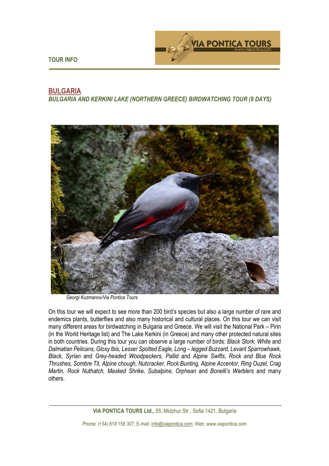



# **BULGARIA**

*BULGARIA AND KERKINI LAKE (NORTHERN GREECE) BIRDWATCHING TOUR (9 DAYS)* 



*Georgi Kuzmanov/Via Pontica Tours*

On this tour we will expect to see more than 200 bird's species but also a large number of rare and endemics plants, butterflies and also many historical and cultural places. On this tour we can visit many different areas for birdwatching in Bulgaria and Greece. We will visit the National Park – Pirin (in the World Heritage list) and The Lake Kerkini (in Greece) and many other protected natural sites in both countries. During this tour you can observe a large number of birds*: Black Stork, White* and *Dalmatian Pelicans, Glosy Ibis, Lesser Spotted Eagle, Long – legged Buzzard, Levant Sparrowhawk, Black, Syrian* and *Grey-headed Woodpeckers, Pallid* and *Alpine Swifts, Rock and Blue Rock Thrushes, Sombre Tit, Alpine chough, Nutcracker, Rock Bunting, Alpine Accentor, Ring Ouzel, Crag Martin, Rock Nuthatch, Masked Shrike, Subalpine, Orphean* and *Bonelli's Warblers* and many others.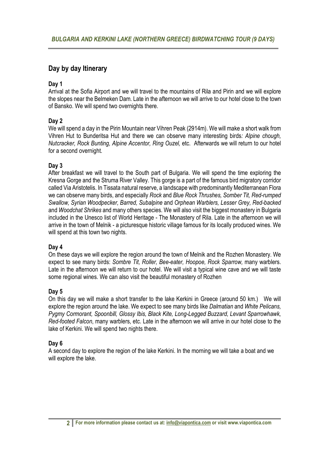# **Day by day Itinerary**

## **Day 1**

Arrival at the Sofia Airport and we will travel to the mountains of Rila and Pirin and we will explore the slopes near the Belmeken Dam. Late in the afternoon we will arrive to our hotel close to the town of Bansko. We will spend two overnights there.

## **Day 2**

We will spend a day in the Pirin Mountain near Vihren Peak (2914m). We will make a short walk from Vihren Hut to Bunderitsa Hut and there we can observe many interesting birds*: Alpine chough, Nutcracker, Rock Bunting, Alpine Accentor, Ring Ouzel,* etc. Afterwards we will return to our hotel for a second overnight.

## **Day 3**

After breakfast we will travel to the South part of Bulgaria. We will spend the time exploring the Kresna Gorge and the Struma River Valley. This gorge is a part of the famous bird migratory corridor called Via Aristotelis. In Tissata natural reserve, a landscape with predominantly Mediterranean Flora we can observe many birds, and especially *Rock* and *Blue Rock Thrushes, Somber Tit, Red-rumped Swallow, Syrian Woodpecker, Barred, Subalpine* and *Orphean Warblers, Lesser Grey, Red-backed*  and *Woodchat Shrikes* and many others species. We will also visit the biggest monastery in Bulgaria included in the Unesco list of World Heritage - The Monastery of Rila. Late in the afternoon we will arrive in the town of Melnik - a picturesque historic village famous for its locally produced wines. We will spend at this town two nights.

#### **Day 4**

On these days we will explore the region around the town of Melnik and the Rozhen Monastery. We expect to see many birds: *Sombre Tit, Roller, Bee-eater, Hoopoe, Rock Sparrow,* many warblers. Late in the afternoon we will return to our hotel. We will visit a typical wine cave and we will taste some regional wines. We can also visit the beautiful monastery of Rozhen

#### **Day 5**

On this day we will make a short transfer to the lake Kerkini in Greece (around 50 km.) We will explore the region around the lake. We expect to see many birds like *Dalmatian* and *White Pelicans, Pygmy Cormorant, Spoonbill, Glossy Ibis, Black Kite, Long-Legged Buzzard, Levant Sparrowhawk, Red-footed Falcon*, many warblers, etc. Late in the afternoon we will arrive in our hotel close to the lake of Kerkini. We will spend two nights there.

#### **Day 6**

A second day to explore the region of the lake Kerkini. In the morning we will take a boat and we will explore the lake.